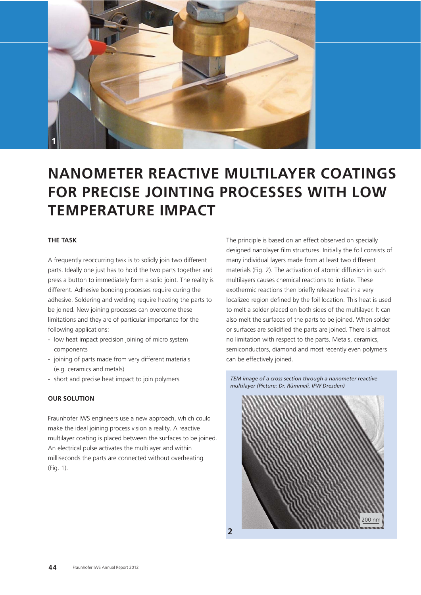

# **NANOMETER REACTIVE MULTILAYER COATINGS FOR PRECISE JOINTING PROCESSES WITH LOW TEMPERATURE IMPACT**

### **THE TASK**

A frequently reoccurring task is to solidly join two different parts. Ideally one just has to hold the two parts together and press a button to immediately form a solid joint. The reality is different. Adhesive bonding processes require curing the adhesive. Soldering and welding require heating the parts to be joined. New joining processes can overcome these limitations and they are of particular importance for the following applications:

- low heat impact precision joining of micro system components
- joining of parts made from very different materials (e.g. ceramics and metals)
- short and precise heat impact to join polymers

## **OUR SOLUTION**

Fraunhofer IWS engineers use a new approach, which could make the ideal joining process vision a reality. A reactive multilayer coating is placed between the surfaces to be joined. An electrical pulse activates the multilayer and within milliseconds the parts are connected without overheating (Fig. 1).

The principle is based on an effect observed on specially designed nanolayer film structures. Initially the foil consists of many individual layers made from at least two different materials (Fig. 2). The activation of atomic diffusion in such multilayers causes chemical reactions to initiate. These exothermic reactions then briefly release heat in a very localized region defined by the foil location. This heat is used to melt a solder placed on both sides of the multilayer. It can also melt the surfaces of the parts to be joined. When solder or surfaces are solidified the parts are joined. There is almost no limitation with respect to the parts. Metals, ceramics, semiconductors, diamond and most recently even polymers can be effectively joined.

*TEM image of a cross section through a nanometer reactive multilayer (Picture: Dr. Rümmeli, IFW Dresden)*